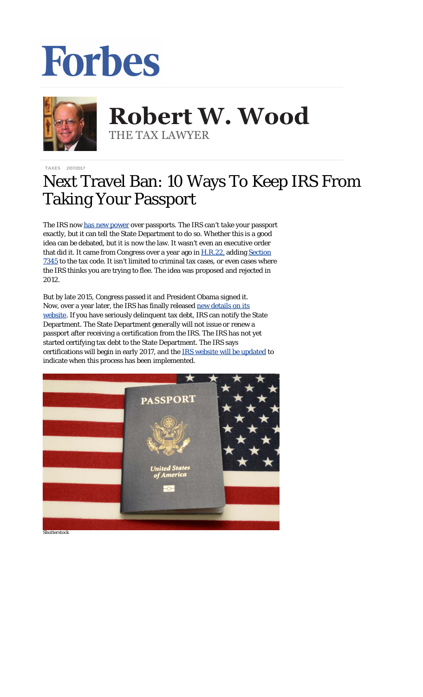## Forbes



## **Robert W. Wood Robert W. Wood** THE TAX LAWYER THE TAX LAWYER

[TAXES](http://www.forbes.com/taxes) 2/07/2017

## Next Travel Ban: 10 Ways To Keep IRS From Taking Your Passport

The IRS now [has new](http://www.forbes.com/sites/robertwood/2017/02/02/another-travel-ban-irs-moves-to-revoke-passports-for-unpaid-taxes/#164cac0d7df6) power over passports. The IRS can't *take* your passport exactly, but it can tell the State Department to do so. Whether this is a good idea can be debated, but it is now the law. It wasn't even an executive order that did it. It came from Congress over a year ago in [H.R.22,](https://www.congress.gov/bill/114th-congress/house-bill/22) adding [Section](http://uscode.house.gov/view.xhtml?req=(title:26%20section:7345%20edition:prelim)) [7345](http://uscode.house.gov/view.xhtml?req=(title:26%20section:7345%20edition:prelim)) to the tax code. It isn't limited to criminal tax cases, or even cases where the IRS thinks you are trying to flee. The idea was proposed and rejected in 2012.

But by late 2015, Congress passed it and President Obama signed it. Now, over a year later, the IRS has finally released [new details on its](https://www.irs.gov/businesses/small-businesses-self-employed/revocation-or-denial-of-passport-in-case-of-certain-unpaid-taxes) [website.](https://www.irs.gov/businesses/small-businesses-self-employed/revocation-or-denial-of-passport-in-case-of-certain-unpaid-taxes) If you have seriously delinquent tax debt, IRS can notify the State Department. The State Department generally will not issue or renew a passport after receiving a certification from the IRS. The IRS has not yet started certifying tax debt to the State Department. The IRS says certifications will begin in early 2017, and the [IRS website will be updated](https://www.irs.gov/businesses/small-businesses-self-employed/revocation-or-denial-of-passport-in-case-of-certain-unpaid-taxes) to indicate when this process has been implemented.



*Shutterstock*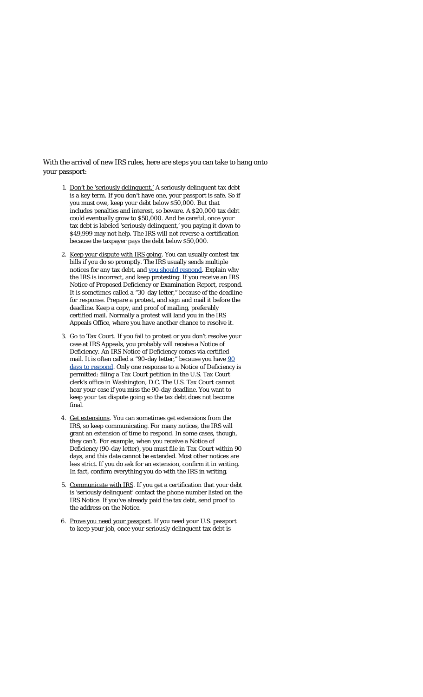With the arrival of new IRS rules, here are steps you can take to hang onto your passport:

- 1. Don't be 'seriously delinquent.' A seriously delinquent tax debt is a key term. If you don't have one, your passport is safe. So if you must owe, keep your debt below \$50,000. But that includes penalties and interest, so beware. A \$20,000 tax debt could eventually grow to \$50,000. And be careful, once your tax debt is labeled 'seriously delinquent,' you paying it down to \$49,999 may not help. The IRS *will not* reverse a certification because the taxpayer pays the debt below \$50,000.
- 2. Keep your dispute with IRS going. You can usually contest tax bills if you do so promptly. The IRS usually sends multiple notices for any tax debt, and [you should respond](http://www.forbes.com/sites/robertwood/2016/02/24/how-to-respond-to-irs-very-carefully/#5b3984ba7023). Explain why the IRS is incorrect, and keep protesting. If you receive an IRS Notice of Proposed Deficiency or Examination Report, respond. It is sometimes called a "30-day letter," because of the deadline for response. Prepare a protest, and sign and mail it before the deadline. Keep a copy, and proof of mailing, preferably certified mail. Normally a protest will land you in the IRS Appeals Office, where you have another chance to resolve it.
- 3. Go to Tax Court. If you fail to protest or you don't resolve your case at IRS Appeals, you probably will receive a Notice of Deficiency. An IRS Notice of Deficiency comes via certified mail. It is often called a "[90](http://www.forbes.com/sites/robertwood/2016/02/24/how-to-respond-to-irs-very-carefully/#5b3984ba7023)-day letter," because you have 90 [days to respond.](http://www.forbes.com/sites/robertwood/2016/02/24/how-to-respond-to-irs-very-carefully/#5b3984ba7023) Only one response to a Notice of Deficiency is permitted: filing a Tax Court petition in the U.S. Tax Court clerk's office in Washington, D.C. The U.S. Tax Court *cannot* hear your case if you miss the 90-day deadline. You want to keep your tax dispute going so the tax debt does not become final.
- 4. Get extensions. You can sometimes get extensions from the IRS, so keep communicating. For many notices, the IRS will grant an extension of time to respond. In some cases, though, they can't. For example, when you receive a Notice of Deficiency (90-day letter), you must file in Tax Court within 90 days, and this date cannot be extended. Most other notices are less strict. If you do ask for an extension, confirm it in writing. In fact, confirm everything you do with the IRS in writing.
- 5. Communicate with IRS. If you get a certification that your debt is 'seriously delinquent' contact the phone number listed on the IRS Notice. If you've already paid the tax debt, send proof to the address on the Notice.
- 6. Prove you need your passport. If you need your U.S. passport to keep your job, once your seriously delinquent tax debt is